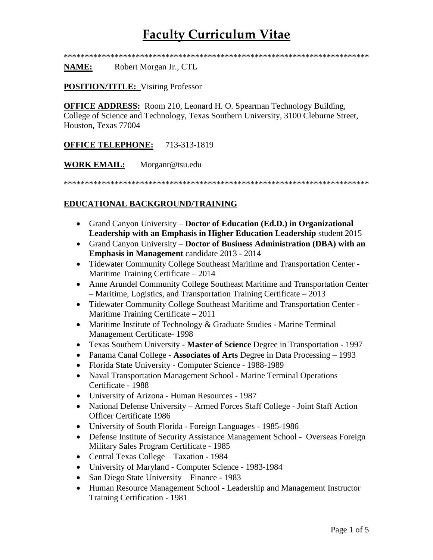\*\*\*\*\*\*\*\*\*\*\*\*\*\*\*\*\*\*\*\*\*\*\*\*\*\*\*\*\*\*\*\*\*\*\*\*\*\*\*\*\*\*\*\*\*\*\*\*\*\*\*\*\*\*\*\*\*\*\*\*\*\*\*\*\*\*\*\*\*\*\*\*

**NAME:** Robert Morgan Jr., CTL

#### **POSITION/TITLE:** Visiting Professor

**OFFICE ADDRESS:** Room 210, Leonard H. O. Spearman Technology Building, College of Science and Technology, Texas Southern University, 3100 Cleburne Street, Houston, Texas 77004

### **OFFICE TELEPHONE:** 713-313-1819

**WORK EMAIL:** Morganr@tsu.edu

\*\*\*\*\*\*\*\*\*\*\*\*\*\*\*\*\*\*\*\*\*\*\*\*\*\*\*\*\*\*\*\*\*\*\*\*\*\*\*\*\*\*\*\*\*\*\*\*\*\*\*\*\*\*\*\*\*\*\*\*\*\*\*\*\*\*\*\*\*\*\*\*

### **EDUCATIONAL BACKGROUND/TRAINING**

- Grand Canyon University **Doctor of Education (Ed.D.) in Organizational Leadership with an Emphasis in Higher Education Leadership** student 2015
- Grand Canyon University **Doctor of Business Administration (DBA) with an Emphasis in Management** candidate 2013 - 2014
- Tidewater Community College Southeast Maritime and Transportation Center Maritime Training Certificate – 2014
- Anne Arundel Community College Southeast Maritime and Transportation Center – Maritime, Logistics, and Transportation Training Certificate – 2013
- Tidewater Community College Southeast Maritime and Transportation Center Maritime Training Certificate – 2011
- Maritime Institute of Technology & Graduate Studies Marine Terminal Management Certificate- 1998
- Texas Southern University **Master of Science** Degree in Transportation 1997
- Panama Canal College **Associates of Arts** Degree in Data Processing 1993
- Florida State University Computer Science 1988-1989
- Naval Transportation Management School Marine Terminal Operations Certificate - 1988
- University of Arizona Human Resources 1987
- National Defense University Armed Forces Staff College Joint Staff Action Officer Certificate 1986
- University of South Florida Foreign Languages 1985-1986
- Defense Institute of Security Assistance Management School Overseas Foreign Military Sales Program Certificate - 1985
- Central Texas College Taxation 1984
- University of Maryland Computer Science 1983-1984
- San Diego State University Finance 1983
- Human Resource Management School Leadership and Management Instructor Training Certification - 1981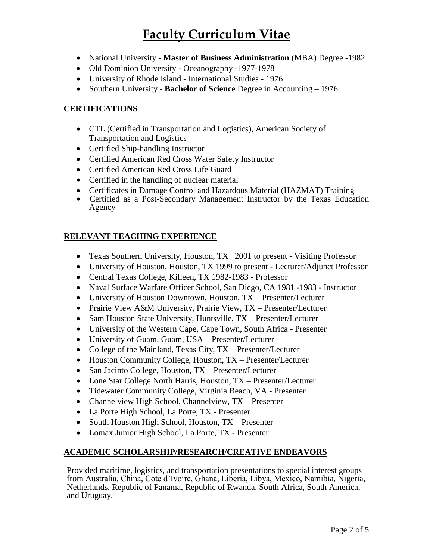- National University **Master of Business Administration** (MBA) Degree -1982
- Old Dominion University Oceanography -1977-1978
- University of Rhode Island International Studies 1976
- Southern University **Bachelor of Science** Degree in Accounting 1976

### **CERTIFICATIONS**

- CTL (Certified in Transportation and Logistics), American Society of Transportation and Logistics
- Certified Ship-handling Instructor
- Certified American Red Cross Water Safety Instructor
- Certified American Red Cross Life Guard
- Certified in the handling of nuclear material
- Certificates in Damage Control and Hazardous Material (HAZMAT) Training
- Certified as a Post-Secondary Management Instructor by the Texas Education Agency

### **RELEVANT TEACHING EXPERIENCE**

- Texas Southern University, Houston, TX 2001 to present Visiting Professor
- University of Houston, Houston, TX 1999 to present Lecturer/Adjunct Professor
- Central Texas College, Killeen, TX 1982-1983 Professor
- Naval Surface Warfare Officer School, San Diego, CA 1981 -1983 Instructor
- University of Houston Downtown, Houston, TX Presenter/Lecturer
- [Prairie View A&M University,](http://www.pvamu.edu/) Prairie View, TX Presenter/Lecturer
- [Sam Houston State University,](http://www.shsu.edu/) Huntsville, TX Presenter/Lecturer
- University of the Western Cape, Cape Town, South Africa Presenter
- [University of Guam,](http://www.uog.edu/) Guam, USA Presenter/Lecturer
- [College of the Mainland,](http://www.com.edu/) Texas City, TX Presenter/Lecturer
- Houston Community College, Houston, TX Presenter/Lecturer
- [San Jacinto College,](http://www.sjcd.edu/) Houston, TX Presenter/Lecturer
- Lone Star College North Harris, Houston, TX Presenter/Lecturer
- Tidewater Community College, Virginia Beach, VA Presenter
- Channelview High School, Channelview, TX Presenter
- La Porte High School, La Porte, TX Presenter
- South Houston High School, Houston, TX Presenter
- Lomax Junior High School, La Porte, TX Presenter

### **ACADEMIC SCHOLARSHIP/RESEARCH/CREATIVE ENDEAVORS**

Provided maritime, logistics, and transportation presentations to special interest groups from Australia, China, Cote d'Ivoire, Ghana, Liberia, Libya, Mexico, Namibia, Nigeria, Netherlands, Republic of Panama, Republic of Rwanda, South Africa, South America, and Uruguay.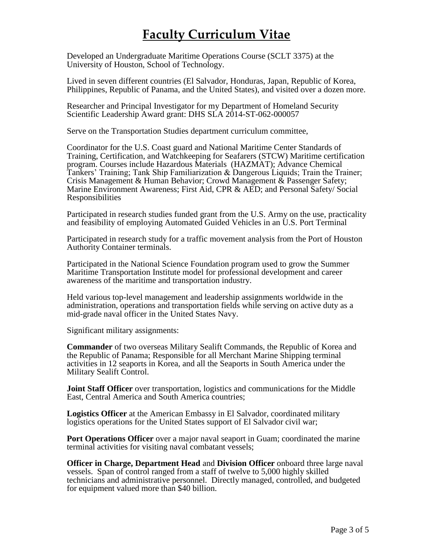Developed an Undergraduate Maritime Operations Course (SCLT 3375) at the University of Houston, School of Technology.

Lived in seven different countries (El Salvador, Honduras, Japan, Republic of Korea, Philippines, Republic of Panama, and the United States), and visited over a dozen more.

Researcher and Principal Investigator for my Department of Homeland Security Scientific Leadership Award grant: DHS SLA 2014-ST-062-000057

Serve on the Transportation Studies department curriculum committee,

Coordinator for the U.S. Coast guard and National Maritime Center Standards of Training, Certification, and Watchkeeping for Seafarers (STCW) Maritime certification program. Courses include Hazardous Materials (HAZMAT); Advance Chemical Tankers' Training; Tank Ship Familiarization & Dangerous Liquids; Train the Trainer; Crisis Management & Human Behavior; Crowd Management & Passenger Safety; Marine Environment Awareness; First Aid, CPR & AED; and Personal Safety/ Social Responsibilities

Participated in research studies funded grant from the U.S. Army on the use, practicality and feasibility of employing Automated Guided Vehicles in an U.S. Port Terminal

Participated in research study for a traffic movement analysis from the Port of Houston Authority Container terminals.

Participated in the National Science Foundation program used to grow the Summer Maritime Transportation Institute model for professional development and career awareness of the maritime and transportation industry.

Held various top-level management and leadership assignments worldwide in the administration, operations and transportation fields while serving on active duty as a mid-grade naval officer in the United States Navy.

Significant military assignments:

**Commander** of two overseas Military Sealift Commands, the Republic of Korea and the Republic of Panama; Responsible for all Merchant Marine Shipping terminal activities in 12 seaports in Korea, and all the Seaports in South America under the Military Sealift Control.

**Joint Staff Officer** over transportation, logistics and communications for the Middle East, Central America and South America countries;

**Logistics Officer** at the American Embassy in El Salvador, coordinated military logistics operations for the United States support of El Salvador civil war;

**Port Operations Officer** over a major naval seaport in Guam; coordinated the marine terminal activities for visiting naval combatant vessels;

**Officer in Charge, Department Head** and **Division Officer** onboard three large naval vessels. Span of control ranged from a staff of twelve to 5,000 highly skilled technicians and administrative personnel. Directly managed, controlled, and budgeted for equipment valued more than \$40 billion.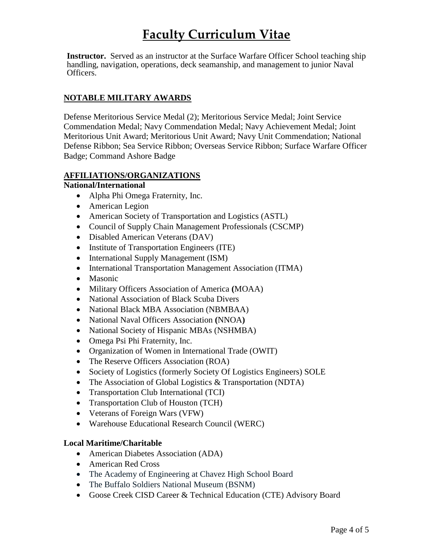**Instructor.** Served as an instructor at the Surface Warfare Officer School teaching ship handling, navigation, operations, deck seamanship, and management to junior Naval Officers.

## **NOTABLE MILITARY AWARDS**

Defense Meritorious Service Medal (2); Meritorious Service Medal; Joint Service Commendation Medal; Navy Commendation Medal; Navy Achievement Medal; Joint Meritorious Unit Award; Meritorious Unit Award; Navy Unit Commendation; National Defense Ribbon; Sea Service Ribbon; Overseas Service Ribbon; Surface Warfare Officer Badge; Command Ashore Badge

### **AFFILIATIONS/ORGANIZATIONS**

### **National/International**

- Alpha Phi Omega Fraternity, Inc.
- American Legion
- American Society of Transportation and Logistics (ASTL)
- Council of Supply Chain Management Professionals (CSCMP)
- [Disabled American Veterans](http://dav.org/) (DAV)
- Institute of Transportation Engineers (ITE)
- International Supply Management (ISM)
- International Transportation Management Association (ITMA)
- Masonic
- Military Officers Association of America **(**MOAA)
- National Association of Black Scuba Divers
- National Black MBA Association (NBMBAA)
- National Naval Officers Association **(**NNOA**)**
- National Society of Hispanic MBAs (NSHMBA)
- Omega Psi Phi Fraternity, Inc.
- Organization of Women in International Trade (OWIT)
- The Reserve Officers Association (ROA)
- Society of Logistics (formerly Society Of Logistics Engineers) SOLE
- The Association of Global Logistics & Transportation (NDTA)
- Transportation Club International (TCI)
- Transportation Club of Houston (TCH)
- Veterans of Foreign Wars (VFW)
- Warehouse Educational Research Council (WERC)

### **Local Maritime/Charitable**

- American Diabetes Association (ADA)
- American Red Cross
- The Academy of Engineering at Chavez High School Board
- The Buffalo Soldiers National Museum (BSNM)
- Goose Creek CISD Career & Technical Education (CTE) Advisory Board